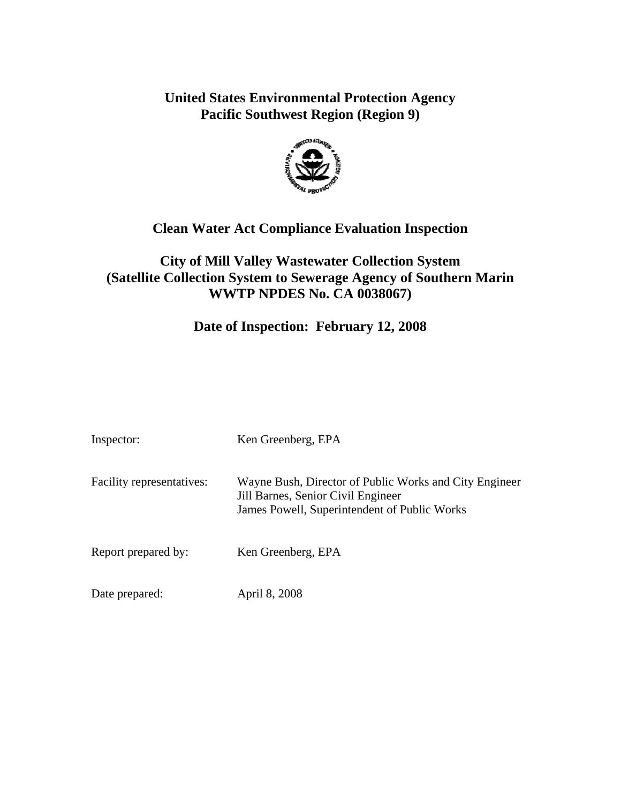# **United States Environmental Protection Agency Pacific Southwest Region (Region 9)**



# **Clean Water Act Compliance Evaluation Inspection**

## **City of Mill Valley Wastewater Collection System (Satellite Collection System to Sewerage Agency of Southern Marin WWTP NPDES No. CA 0038067)**

## **Date of Inspection: February 12, 2008**

| Inspector:                | Ken Greenberg, EPA                                                                                                                           |
|---------------------------|----------------------------------------------------------------------------------------------------------------------------------------------|
| Facility representatives: | Wayne Bush, Director of Public Works and City Engineer<br>Jill Barnes, Senior Civil Engineer<br>James Powell, Superintendent of Public Works |
| Report prepared by:       | Ken Greenberg, EPA                                                                                                                           |
| Date prepared:            | April 8, 2008                                                                                                                                |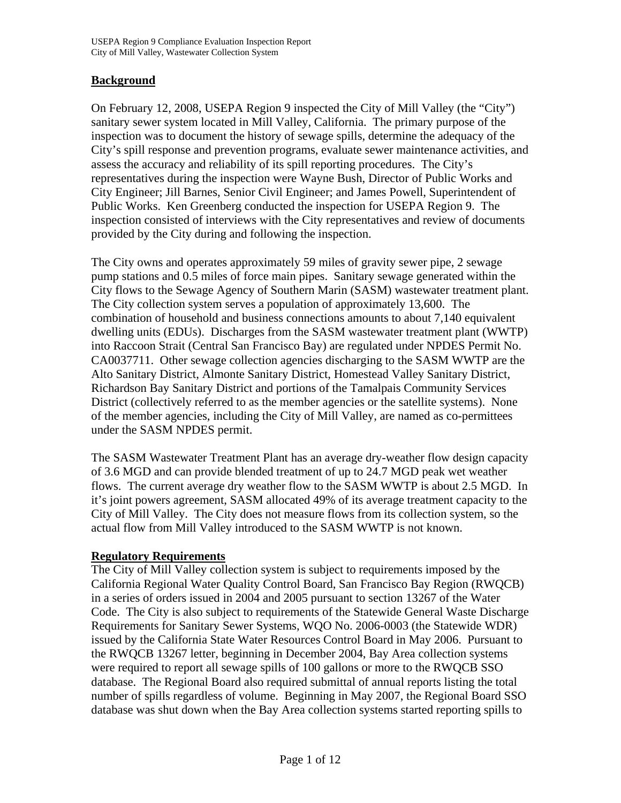### **Background**

On February 12, 2008, USEPA Region 9 inspected the City of Mill Valley (the "City") sanitary sewer system located in Mill Valley, California. The primary purpose of the inspection was to document the history of sewage spills, determine the adequacy of the City's spill response and prevention programs, evaluate sewer maintenance activities, and assess the accuracy and reliability of its spill reporting procedures. The City's representatives during the inspection were Wayne Bush, Director of Public Works and City Engineer; Jill Barnes, Senior Civil Engineer; and James Powell, Superintendent of Public Works. Ken Greenberg conducted the inspection for USEPA Region 9. The inspection consisted of interviews with the City representatives and review of documents provided by the City during and following the inspection.

The City owns and operates approximately 59 miles of gravity sewer pipe, 2 sewage pump stations and 0.5 miles of force main pipes. Sanitary sewage generated within the City flows to the Sewage Agency of Southern Marin (SASM) wastewater treatment plant. The City collection system serves a population of approximately 13,600. The combination of household and business connections amounts to about 7,140 equivalent dwelling units (EDUs). Discharges from the SASM wastewater treatment plant (WWTP) into Raccoon Strait (Central San Francisco Bay) are regulated under NPDES Permit No. CA0037711. Other sewage collection agencies discharging to the SASM WWTP are the Alto Sanitary District, Almonte Sanitary District, Homestead Valley Sanitary District, Richardson Bay Sanitary District and portions of the Tamalpais Community Services District (collectively referred to as the member agencies or the satellite systems). None of the member agencies, including the City of Mill Valley, are named as co-permittees under the SASM NPDES permit.

The SASM Wastewater Treatment Plant has an average dry-weather flow design capacity of 3.6 MGD and can provide blended treatment of up to 24.7 MGD peak wet weather flows. The current average dry weather flow to the SASM WWTP is about 2.5 MGD. In it's joint powers agreement, SASM allocated 49% of its average treatment capacity to the City of Mill Valley. The City does not measure flows from its collection system, so the actual flow from Mill Valley introduced to the SASM WWTP is not known.

### **Regulatory Requirements**

The City of Mill Valley collection system is subject to requirements imposed by the California Regional Water Quality Control Board, San Francisco Bay Region (RWQCB) in a series of orders issued in 2004 and 2005 pursuant to section 13267 of the Water Code. The City is also subject to requirements of the Statewide General Waste Discharge Requirements for Sanitary Sewer Systems, WQO No. 2006-0003 (the Statewide WDR) issued by the California State Water Resources Control Board in May 2006. Pursuant to the RWQCB 13267 letter, beginning in December 2004, Bay Area collection systems were required to report all sewage spills of 100 gallons or more to the RWQCB SSO database. The Regional Board also required submittal of annual reports listing the total number of spills regardless of volume. Beginning in May 2007, the Regional Board SSO database was shut down when the Bay Area collection systems started reporting spills to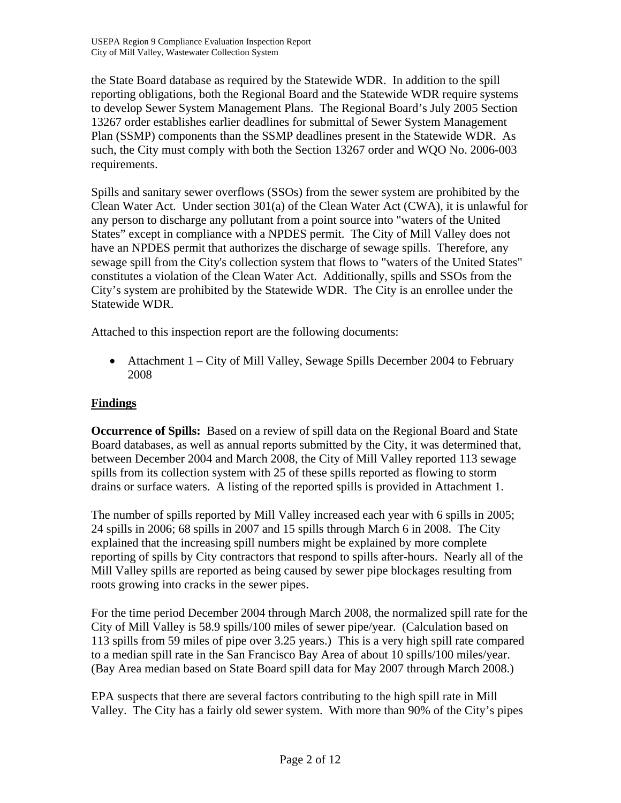the State Board database as required by the Statewide WDR. In addition to the spill reporting obligations, both the Regional Board and the Statewide WDR require systems to develop Sewer System Management Plans. The Regional Board's July 2005 Section 13267 order establishes earlier deadlines for submittal of Sewer System Management Plan (SSMP) components than the SSMP deadlines present in the Statewide WDR. As such, the City must comply with both the Section 13267 order and WQO No. 2006-003 requirements.

Spills and sanitary sewer overflows (SSOs) from the sewer system are prohibited by the Clean Water Act. Under section 301(a) of the Clean Water Act (CWA), it is unlawful for any person to discharge any pollutant from a point source into "waters of the United States" except in compliance with a NPDES permit. The City of Mill Valley does not have an NPDES permit that authorizes the discharge of sewage spills. Therefore, any sewage spill from the City's collection system that flows to "waters of the United States" constitutes a violation of the Clean Water Act. Additionally, spills and SSOs from the City's system are prohibited by the Statewide WDR. The City is an enrollee under the Statewide WDR.

Attached to this inspection report are the following documents:

• Attachment 1 – City of Mill Valley, Sewage Spills December 2004 to February 2008

### **Findings**

**Occurrence of Spills:** Based on a review of spill data on the Regional Board and State Board databases, as well as annual reports submitted by the City, it was determined that, between December 2004 and March 2008, the City of Mill Valley reported 113 sewage spills from its collection system with 25 of these spills reported as flowing to storm drains or surface waters. A listing of the reported spills is provided in Attachment 1.

The number of spills reported by Mill Valley increased each year with 6 spills in 2005; 24 spills in 2006; 68 spills in 2007 and 15 spills through March 6 in 2008. The City explained that the increasing spill numbers might be explained by more complete reporting of spills by City contractors that respond to spills after-hours. Nearly all of the Mill Valley spills are reported as being caused by sewer pipe blockages resulting from roots growing into cracks in the sewer pipes.

For the time period December 2004 through March 2008, the normalized spill rate for the City of Mill Valley is 58.9 spills/100 miles of sewer pipe/year. (Calculation based on 113 spills from 59 miles of pipe over 3.25 years.) This is a very high spill rate compared to a median spill rate in the San Francisco Bay Area of about 10 spills/100 miles/year. (Bay Area median based on State Board spill data for May 2007 through March 2008.)

EPA suspects that there are several factors contributing to the high spill rate in Mill Valley. The City has a fairly old sewer system. With more than 90% of the City's pipes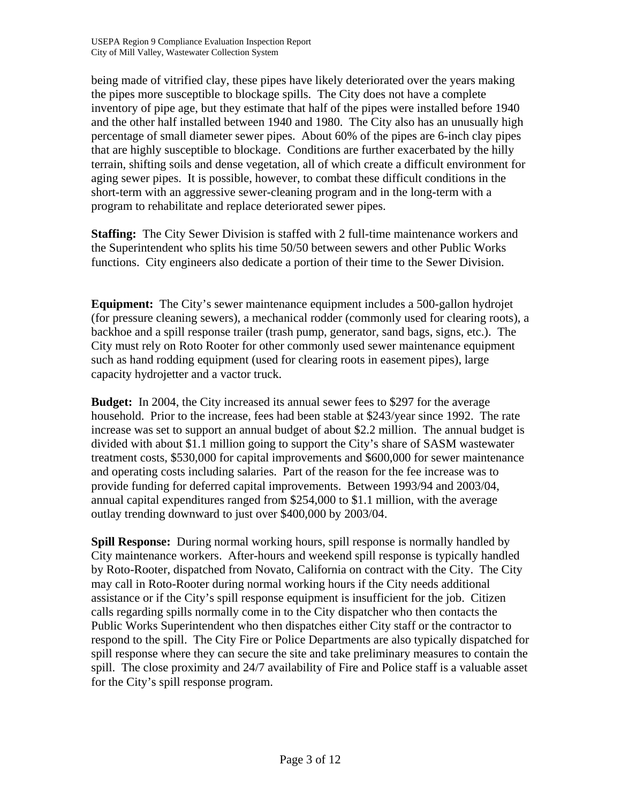being made of vitrified clay, these pipes have likely deteriorated over the years making the pipes more susceptible to blockage spills. The City does not have a complete inventory of pipe age, but they estimate that half of the pipes were installed before 1940 and the other half installed between 1940 and 1980. The City also has an unusually high percentage of small diameter sewer pipes. About 60% of the pipes are 6-inch clay pipes that are highly susceptible to blockage. Conditions are further exacerbated by the hilly terrain, shifting soils and dense vegetation, all of which create a difficult environment for aging sewer pipes. It is possible, however, to combat these difficult conditions in the short-term with an aggressive sewer-cleaning program and in the long-term with a program to rehabilitate and replace deteriorated sewer pipes.

**Staffing:** The City Sewer Division is staffed with 2 full-time maintenance workers and the Superintendent who splits his time 50/50 between sewers and other Public Works functions. City engineers also dedicate a portion of their time to the Sewer Division.

**Equipment:** The City's sewer maintenance equipment includes a 500-gallon hydrojet (for pressure cleaning sewers), a mechanical rodder (commonly used for clearing roots), a backhoe and a spill response trailer (trash pump, generator, sand bags, signs, etc.). The City must rely on Roto Rooter for other commonly used sewer maintenance equipment such as hand rodding equipment (used for clearing roots in easement pipes), large capacity hydrojetter and a vactor truck.

**Budget:** In 2004, the City increased its annual sewer fees to \$297 for the average household. Prior to the increase, fees had been stable at \$243/year since 1992. The rate increase was set to support an annual budget of about \$2.2 million. The annual budget is divided with about \$1.1 million going to support the City's share of SASM wastewater treatment costs, \$530,000 for capital improvements and \$600,000 for sewer maintenance and operating costs including salaries. Part of the reason for the fee increase was to provide funding for deferred capital improvements. Between 1993/94 and 2003/04, annual capital expenditures ranged from \$254,000 to \$1.1 million, with the average outlay trending downward to just over \$400,000 by 2003/04.

**Spill Response:** During normal working hours, spill response is normally handled by City maintenance workers. After-hours and weekend spill response is typically handled by Roto-Rooter, dispatched from Novato, California on contract with the City. The City may call in Roto-Rooter during normal working hours if the City needs additional assistance or if the City's spill response equipment is insufficient for the job. Citizen calls regarding spills normally come in to the City dispatcher who then contacts the Public Works Superintendent who then dispatches either City staff or the contractor to respond to the spill. The City Fire or Police Departments are also typically dispatched for spill response where they can secure the site and take preliminary measures to contain the spill. The close proximity and 24/7 availability of Fire and Police staff is a valuable asset for the City's spill response program.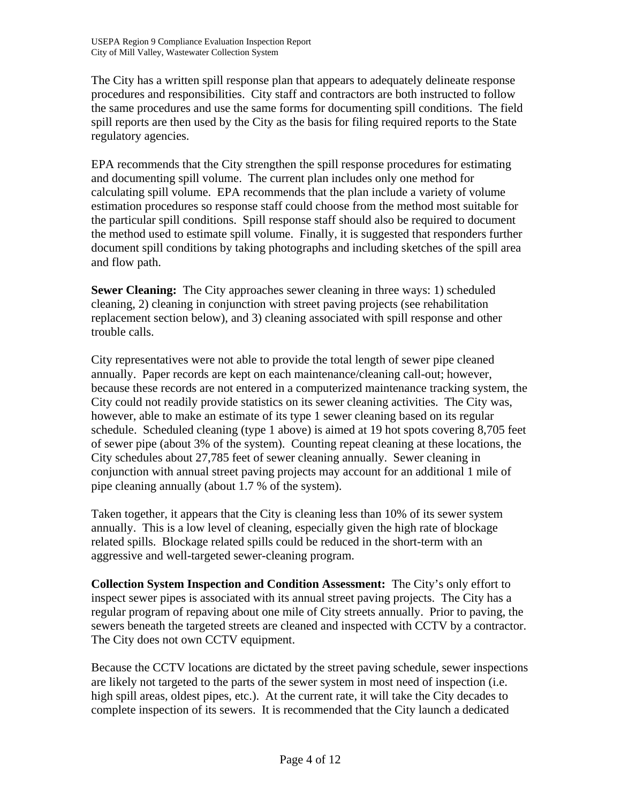The City has a written spill response plan that appears to adequately delineate response procedures and responsibilities. City staff and contractors are both instructed to follow the same procedures and use the same forms for documenting spill conditions. The field spill reports are then used by the City as the basis for filing required reports to the State regulatory agencies.

EPA recommends that the City strengthen the spill response procedures for estimating and documenting spill volume. The current plan includes only one method for calculating spill volume. EPA recommends that the plan include a variety of volume estimation procedures so response staff could choose from the method most suitable for the particular spill conditions. Spill response staff should also be required to document the method used to estimate spill volume. Finally, it is suggested that responders further document spill conditions by taking photographs and including sketches of the spill area and flow path.

**Sewer Cleaning:** The City approaches sewer cleaning in three ways: 1) scheduled cleaning, 2) cleaning in conjunction with street paving projects (see rehabilitation replacement section below), and 3) cleaning associated with spill response and other trouble calls.

City representatives were not able to provide the total length of sewer pipe cleaned annually. Paper records are kept on each maintenance/cleaning call-out; however, because these records are not entered in a computerized maintenance tracking system, the City could not readily provide statistics on its sewer cleaning activities. The City was, however, able to make an estimate of its type 1 sewer cleaning based on its regular schedule. Scheduled cleaning (type 1 above) is aimed at 19 hot spots covering 8,705 feet of sewer pipe (about 3% of the system). Counting repeat cleaning at these locations, the City schedules about 27,785 feet of sewer cleaning annually. Sewer cleaning in conjunction with annual street paving projects may account for an additional 1 mile of pipe cleaning annually (about 1.7 % of the system).

Taken together, it appears that the City is cleaning less than 10% of its sewer system annually. This is a low level of cleaning, especially given the high rate of blockage related spills. Blockage related spills could be reduced in the short-term with an aggressive and well-targeted sewer-cleaning program.

**Collection System Inspection and Condition Assessment:** The City's only effort to inspect sewer pipes is associated with its annual street paving projects. The City has a regular program of repaving about one mile of City streets annually. Prior to paving, the sewers beneath the targeted streets are cleaned and inspected with CCTV by a contractor. The City does not own CCTV equipment.

Because the CCTV locations are dictated by the street paving schedule, sewer inspections are likely not targeted to the parts of the sewer system in most need of inspection (i.e. high spill areas, oldest pipes, etc.). At the current rate, it will take the City decades to complete inspection of its sewers. It is recommended that the City launch a dedicated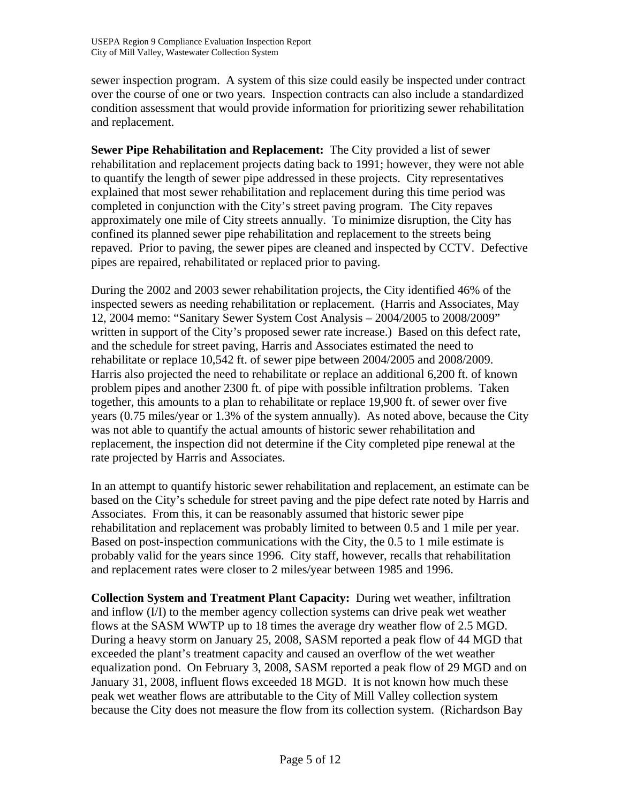sewer inspection program. A system of this size could easily be inspected under contract over the course of one or two years. Inspection contracts can also include a standardized condition assessment that would provide information for prioritizing sewer rehabilitation and replacement.

**Sewer Pipe Rehabilitation and Replacement:** The City provided a list of sewer rehabilitation and replacement projects dating back to 1991; however, they were not able to quantify the length of sewer pipe addressed in these projects. City representatives explained that most sewer rehabilitation and replacement during this time period was completed in conjunction with the City's street paving program. The City repaves approximately one mile of City streets annually. To minimize disruption, the City has confined its planned sewer pipe rehabilitation and replacement to the streets being repaved. Prior to paving, the sewer pipes are cleaned and inspected by CCTV. Defective pipes are repaired, rehabilitated or replaced prior to paving.

During the 2002 and 2003 sewer rehabilitation projects, the City identified 46% of the inspected sewers as needing rehabilitation or replacement. (Harris and Associates, May 12, 2004 memo: "Sanitary Sewer System Cost Analysis – 2004/2005 to 2008/2009" written in support of the City's proposed sewer rate increase.) Based on this defect rate, and the schedule for street paving, Harris and Associates estimated the need to rehabilitate or replace 10,542 ft. of sewer pipe between 2004/2005 and 2008/2009. Harris also projected the need to rehabilitate or replace an additional 6,200 ft. of known problem pipes and another 2300 ft. of pipe with possible infiltration problems. Taken together, this amounts to a plan to rehabilitate or replace 19,900 ft. of sewer over five years (0.75 miles/year or 1.3% of the system annually). As noted above, because the City was not able to quantify the actual amounts of historic sewer rehabilitation and replacement, the inspection did not determine if the City completed pipe renewal at the rate projected by Harris and Associates.

In an attempt to quantify historic sewer rehabilitation and replacement, an estimate can be based on the City's schedule for street paving and the pipe defect rate noted by Harris and Associates. From this, it can be reasonably assumed that historic sewer pipe rehabilitation and replacement was probably limited to between 0.5 and 1 mile per year. Based on post-inspection communications with the City, the 0.5 to 1 mile estimate is probably valid for the years since 1996. City staff, however, recalls that rehabilitation and replacement rates were closer to 2 miles/year between 1985 and 1996.

**Collection System and Treatment Plant Capacity:** During wet weather, infiltration and inflow (I/I) to the member agency collection systems can drive peak wet weather flows at the SASM WWTP up to 18 times the average dry weather flow of 2.5 MGD. During a heavy storm on January 25, 2008, SASM reported a peak flow of 44 MGD that exceeded the plant's treatment capacity and caused an overflow of the wet weather equalization pond. On February 3, 2008, SASM reported a peak flow of 29 MGD and on January 31, 2008, influent flows exceeded 18 MGD. It is not known how much these peak wet weather flows are attributable to the City of Mill Valley collection system because the City does not measure the flow from its collection system. (Richardson Bay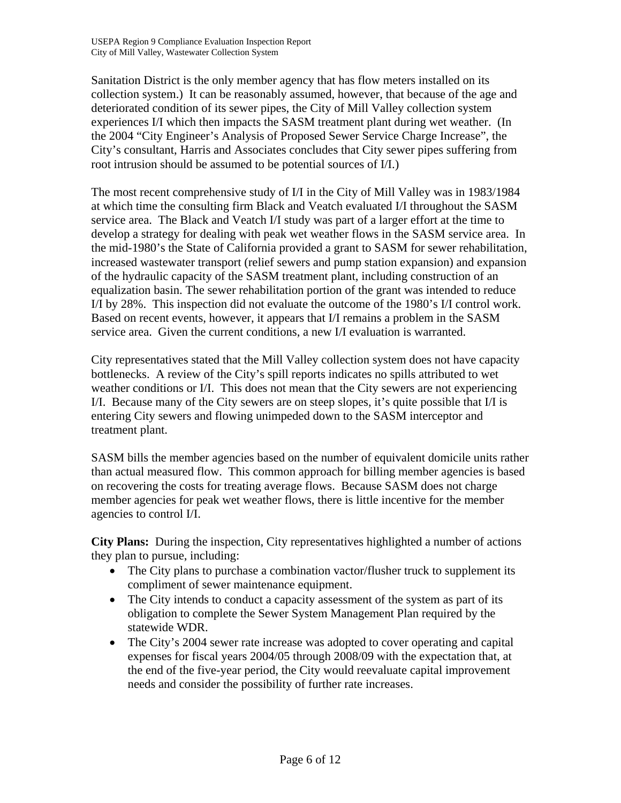Sanitation District is the only member agency that has flow meters installed on its collection system.) It can be reasonably assumed, however, that because of the age and deteriorated condition of its sewer pipes, the City of Mill Valley collection system experiences I/I which then impacts the SASM treatment plant during wet weather. (In the 2004 "City Engineer's Analysis of Proposed Sewer Service Charge Increase", the City's consultant, Harris and Associates concludes that City sewer pipes suffering from root intrusion should be assumed to be potential sources of I/I.)

The most recent comprehensive study of I/I in the City of Mill Valley was in 1983/1984 at which time the consulting firm Black and Veatch evaluated I/I throughout the SASM service area. The Black and Veatch I/I study was part of a larger effort at the time to develop a strategy for dealing with peak wet weather flows in the SASM service area. In the mid-1980's the State of California provided a grant to SASM for sewer rehabilitation, increased wastewater transport (relief sewers and pump station expansion) and expansion of the hydraulic capacity of the SASM treatment plant, including construction of an equalization basin. The sewer rehabilitation portion of the grant was intended to reduce I/I by 28%. This inspection did not evaluate the outcome of the 1980's I/I control work. Based on recent events, however, it appears that I/I remains a problem in the SASM service area. Given the current conditions, a new I/I evaluation is warranted.

City representatives stated that the Mill Valley collection system does not have capacity bottlenecks. A review of the City's spill reports indicates no spills attributed to wet weather conditions or I/I. This does not mean that the City sewers are not experiencing I/I. Because many of the City sewers are on steep slopes, it's quite possible that I/I is entering City sewers and flowing unimpeded down to the SASM interceptor and treatment plant.

SASM bills the member agencies based on the number of equivalent domicile units rather than actual measured flow. This common approach for billing member agencies is based on recovering the costs for treating average flows. Because SASM does not charge member agencies for peak wet weather flows, there is little incentive for the member agencies to control I/I.

**City Plans:** During the inspection, City representatives highlighted a number of actions they plan to pursue, including:

- The City plans to purchase a combination vactor/flusher truck to supplement its compliment of sewer maintenance equipment.
- The City intends to conduct a capacity assessment of the system as part of its obligation to complete the Sewer System Management Plan required by the statewide WDR.
- The City's 2004 sewer rate increase was adopted to cover operating and capital expenses for fiscal years 2004/05 through 2008/09 with the expectation that, at the end of the five-year period, the City would reevaluate capital improvement needs and consider the possibility of further rate increases.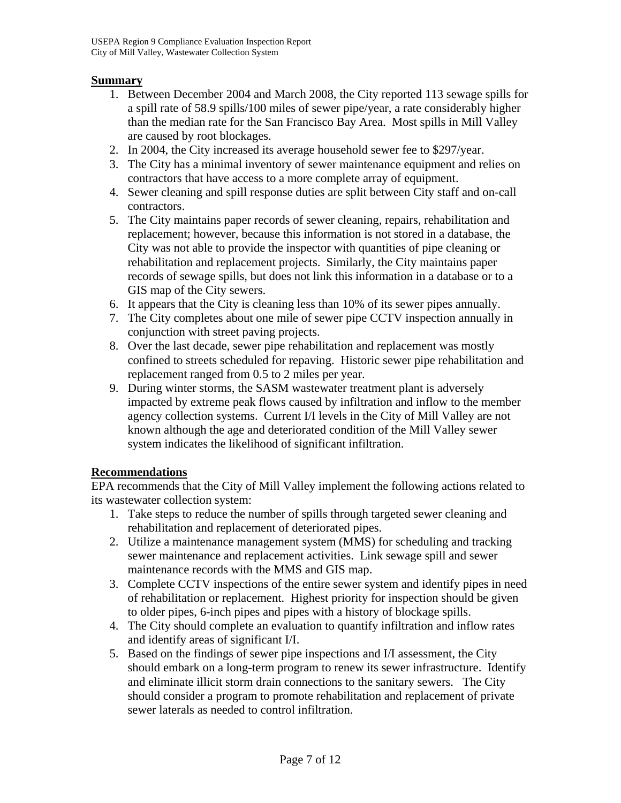#### **Summary**

- 1. Between December 2004 and March 2008, the City reported 113 sewage spills for a spill rate of 58.9 spills/100 miles of sewer pipe/year, a rate considerably higher than the median rate for the San Francisco Bay Area. Most spills in Mill Valley are caused by root blockages.
- 2. In 2004, the City increased its average household sewer fee to \$297/year.
- 3. The City has a minimal inventory of sewer maintenance equipment and relies on contractors that have access to a more complete array of equipment.
- 4. Sewer cleaning and spill response duties are split between City staff and on-call contractors.
- 5. The City maintains paper records of sewer cleaning, repairs, rehabilitation and replacement; however, because this information is not stored in a database, the City was not able to provide the inspector with quantities of pipe cleaning or rehabilitation and replacement projects. Similarly, the City maintains paper records of sewage spills, but does not link this information in a database or to a GIS map of the City sewers.
- 6. It appears that the City is cleaning less than 10% of its sewer pipes annually.
- 7. The City completes about one mile of sewer pipe CCTV inspection annually in conjunction with street paving projects.
- 8. Over the last decade, sewer pipe rehabilitation and replacement was mostly confined to streets scheduled for repaving. Historic sewer pipe rehabilitation and replacement ranged from 0.5 to 2 miles per year.
- 9. During winter storms, the SASM wastewater treatment plant is adversely impacted by extreme peak flows caused by infiltration and inflow to the member agency collection systems. Current I/I levels in the City of Mill Valley are not known although the age and deteriorated condition of the Mill Valley sewer system indicates the likelihood of significant infiltration.

### **Recommendations**

EPA recommends that the City of Mill Valley implement the following actions related to its wastewater collection system:

- 1. Take steps to reduce the number of spills through targeted sewer cleaning and rehabilitation and replacement of deteriorated pipes.
- 2. Utilize a maintenance management system (MMS) for scheduling and tracking sewer maintenance and replacement activities. Link sewage spill and sewer maintenance records with the MMS and GIS map.
- 3. Complete CCTV inspections of the entire sewer system and identify pipes in need of rehabilitation or replacement. Highest priority for inspection should be given to older pipes, 6-inch pipes and pipes with a history of blockage spills.
- 4. The City should complete an evaluation to quantify infiltration and inflow rates and identify areas of significant I/I.
- 5. Based on the findings of sewer pipe inspections and I/I assessment, the City should embark on a long-term program to renew its sewer infrastructure. Identify and eliminate illicit storm drain connections to the sanitary sewers. The City should consider a program to promote rehabilitation and replacement of private sewer laterals as needed to control infiltration.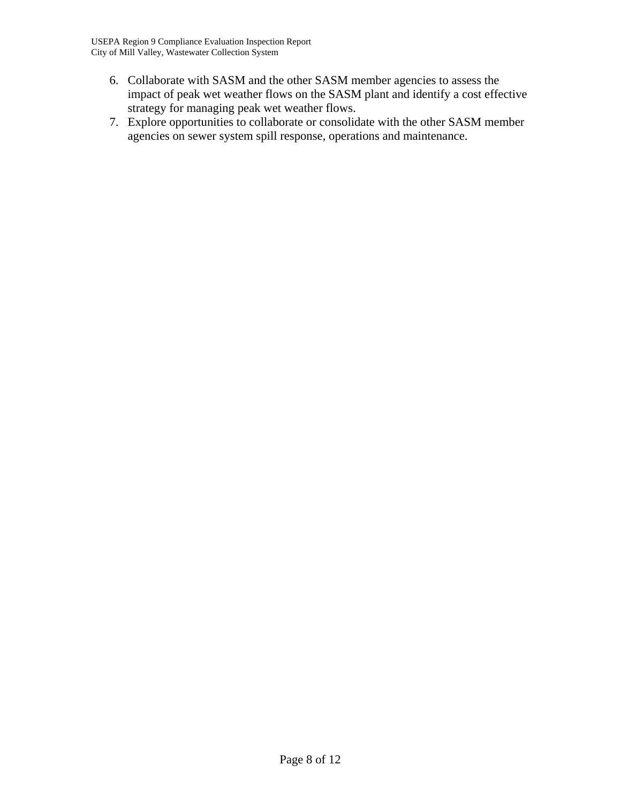- 6. Collaborate with SASM and the other SASM member agencies to assess the impact of peak wet weather flows on the SASM plant and identify a cost effective strategy for managing peak wet weather flows.
- 7. Explore opportunities to collaborate or consolidate with the other SASM member agencies on sewer system spill response, operations and maintenance.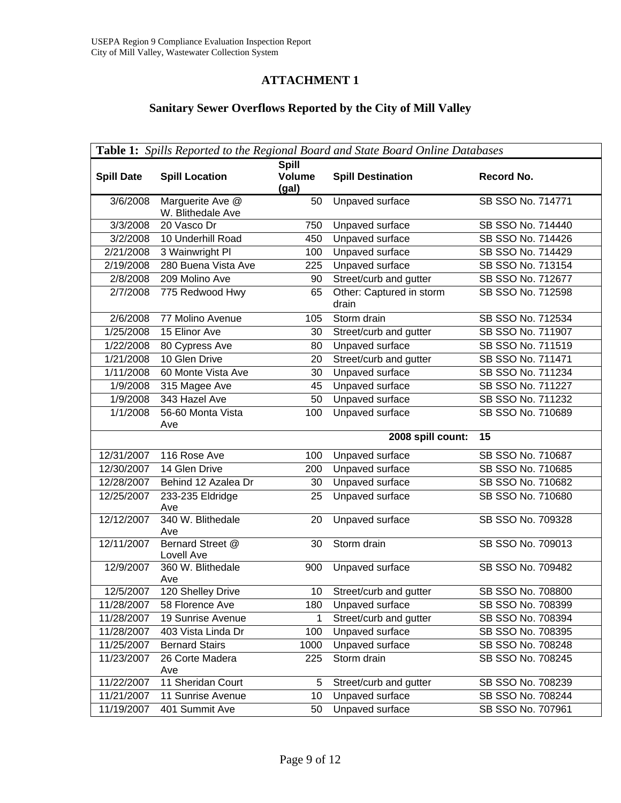## **ATTACHMENT 1**

## **Sanitary Sewer Overflows Reported by the City of Mill Valley**

| <b>Table 1:</b> Spills Reported to the Regional Board and State Board Online Databases |                                       |                                        |                                    |                                        |
|----------------------------------------------------------------------------------------|---------------------------------------|----------------------------------------|------------------------------------|----------------------------------------|
| <b>Spill Date</b>                                                                      | <b>Spill Location</b>                 | <b>Spill</b><br><b>Volume</b><br>(gal) | <b>Spill Destination</b>           | Record No.                             |
| 3/6/2008                                                                               | Marguerite Ave @<br>W. Blithedale Ave | 50                                     | Unpaved surface                    | SB SSO No. 714771                      |
| 3/3/2008                                                                               | 20 Vasco Dr                           | 750                                    | Unpaved surface                    | SB SSO No. 714440                      |
| 3/2/2008                                                                               | 10 Underhill Road                     | 450                                    | Unpaved surface                    | SB SSO No. 714426                      |
| 2/21/2008                                                                              | 3 Wainwright PI                       | 100                                    | <b>Unpaved surface</b>             | SB SSO No. 714429                      |
| 2/19/2008                                                                              | 280 Buena Vista Ave                   | 225                                    | Unpaved surface                    | SB SSO No. 713154                      |
| 2/8/2008                                                                               | 209 Molino Ave                        | 90                                     | Street/curb and gutter             | SB SSO No. 712677                      |
| 2/7/2008                                                                               | 775 Redwood Hwy                       | 65                                     | Other: Captured in storm<br>drain  | SB SSO No. 712598                      |
| 2/6/2008                                                                               | 77 Molino Avenue                      | 105                                    | Storm drain                        | SB SSO No. 712534                      |
| 1/25/2008                                                                              | 15 Elinor Ave                         | 30                                     | Street/curb and gutter             | SB SSO No. 711907                      |
| 1/22/2008                                                                              | 80 Cypress Ave                        | 80                                     | Unpaved surface                    | SB SSO No. 711519                      |
| 1/21/2008                                                                              | 10 Glen Drive                         | 20                                     | Street/curb and gutter             | SB SSO No. 711471                      |
| 1/11/2008                                                                              | 60 Monte Vista Ave                    | 30                                     | Unpaved surface                    | SB SSO No. 711234                      |
| 1/9/2008                                                                               | 315 Magee Ave                         | 45                                     | Unpaved surface                    | SB SSO No. 711227                      |
| 1/9/2008                                                                               | 343 Hazel Ave                         | 50                                     | Unpaved surface                    | SB SSO No. 711232                      |
| 1/1/2008                                                                               | 56-60 Monta Vista<br>Ave              | 100                                    | Unpaved surface                    | SB SSO No. 710689                      |
|                                                                                        |                                       |                                        |                                    | 15                                     |
|                                                                                        |                                       |                                        | 2008 spill count:                  |                                        |
| 12/31/2007                                                                             | 116 Rose Ave                          | 100                                    | Unpaved surface                    | SB SSO No. 710687                      |
| 12/30/2007                                                                             | 14 Glen Drive                         | 200                                    | Unpaved surface                    | SB SSO No. 710685                      |
| 12/28/2007                                                                             | Behind 12 Azalea Dr                   | 30                                     | Unpaved surface                    | SB SSO No. 710682                      |
| 12/25/2007                                                                             | 233-235 Eldridge<br>Ave               | 25                                     | Unpaved surface                    | SB SSO No. 710680                      |
| 12/12/2007                                                                             | 340 W. Blithedale<br>Ave              | 20                                     | <b>Unpaved surface</b>             | SB SSO No. 709328                      |
| 12/11/2007                                                                             | Bernard Street @<br>Lovell Ave        | 30                                     | Storm drain                        | SB SSO No. 709013                      |
| 12/9/2007                                                                              | 360 W. Blithedale<br>Ave              | 900                                    | Unpaved surface                    | SB SSO No. 709482                      |
| 12/5/2007                                                                              | 120 Shelley Drive                     | $10-10$                                | Street/curb and gutter             | SB SSO No. 708800                      |
| 11/28/2007                                                                             | 58 Florence Ave                       | 180                                    | Unpaved surface                    | SB SSO No. 708399                      |
| 11/28/2007                                                                             | 19 Sunrise Avenue                     | 1                                      | Street/curb and gutter             | SB SSO No. 708394                      |
| 11/28/2007                                                                             | 403 Vista Linda Dr                    | 100                                    | Unpaved surface                    | SB SSO No. 708395                      |
| 11/25/2007                                                                             | <b>Bernard Stairs</b>                 | 1000                                   | Unpaved surface                    | SB SSO No. 708248                      |
| 11/23/2007                                                                             | 26 Corte Madera<br>Ave                | 225                                    | Storm drain                        | SB SSO No. 708245                      |
| 11/22/2007                                                                             | 11 Sheridan Court                     | 5                                      | Street/curb and gutter             | SB SSO No. 708239                      |
| 11/21/2007<br>11/19/2007                                                               | 11 Sunrise Avenue<br>401 Summit Ave   | 10<br>50                               | Unpaved surface<br>Unpaved surface | SB SSO No. 708244<br>SB SSO No. 707961 |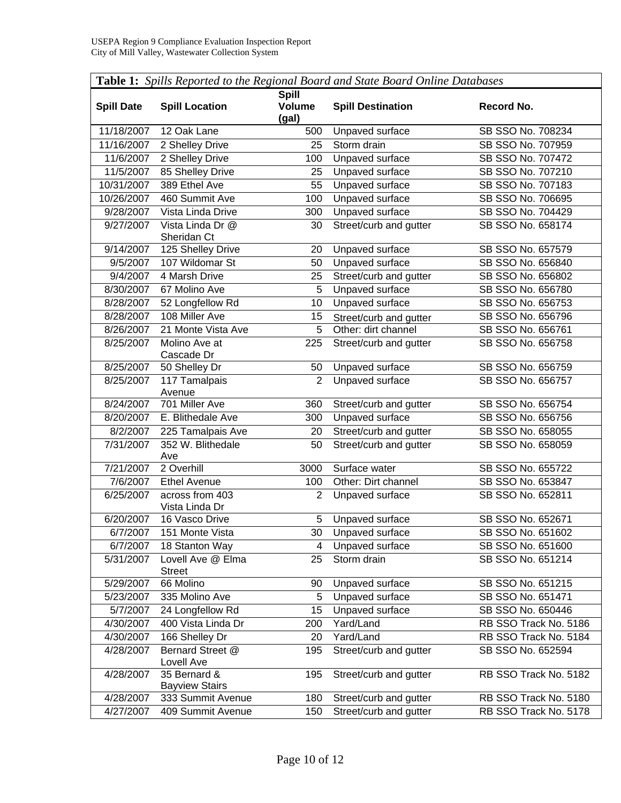| Table 1: Spills Reported to the Regional Board and State Board Online Databases |                                       |                                        |                          |                       |
|---------------------------------------------------------------------------------|---------------------------------------|----------------------------------------|--------------------------|-----------------------|
| <b>Spill Date</b>                                                               | <b>Spill Location</b>                 | <b>Spill</b><br><b>Volume</b><br>(gal) | <b>Spill Destination</b> | Record No.            |
| 11/18/2007                                                                      | 12 Oak Lane                           | 500                                    | Unpaved surface          | SB SSO No. 708234     |
| 11/16/2007                                                                      | 2 Shelley Drive                       | 25                                     | Storm drain              | SB SSO No. 707959     |
| 11/6/2007                                                                       | 2 Shelley Drive                       | 100                                    | Unpaved surface          | SB SSO No. 707472     |
| 11/5/2007                                                                       | 85 Shelley Drive                      | 25                                     | Unpaved surface          | SB SSO No. 707210     |
| 10/31/2007                                                                      | 389 Ethel Ave                         | 55                                     | <b>Unpaved surface</b>   | SB SSO No. 707183     |
| 10/26/2007                                                                      | 460 Summit Ave                        | 100                                    | Unpaved surface          | SB SSO No. 706695     |
| 9/28/2007                                                                       | Vista Linda Drive                     | 300                                    | Unpaved surface          | SB SSO No. 704429     |
| 9/27/2007                                                                       | Vista Linda Dr @<br>Sheridan Ct       | 30                                     | Street/curb and gutter   | SB SSO No. 658174     |
| 9/14/2007                                                                       | 125 Shelley Drive                     | 20                                     | Unpaved surface          | SB SSO No. 657579     |
| 9/5/2007                                                                        | 107 Wildomar St                       | 50                                     | Unpaved surface          | SB SSO No. 656840     |
| 9/4/2007                                                                        | 4 Marsh Drive                         | 25                                     | Street/curb and gutter   | SB SSO No. 656802     |
| 8/30/2007                                                                       | 67 Molino Ave                         | 5                                      | Unpaved surface          | SB SSO No. 656780     |
| 8/28/2007                                                                       | 52 Longfellow Rd                      | 10                                     | <b>Unpaved surface</b>   | SB SSO No. 656753     |
| 8/28/2007                                                                       | 108 Miller Ave                        | 15                                     | Street/curb and gutter   | SB SSO No. 656796     |
| 8/26/2007                                                                       | 21 Monte Vista Ave                    | 5                                      | Other: dirt channel      | SB SSO No. 656761     |
| 8/25/2007                                                                       | Molino Ave at<br>Cascade Dr           | 225                                    | Street/curb and gutter   | SB SSO No. 656758     |
| 8/25/2007                                                                       | 50 Shelley Dr                         | 50                                     | Unpaved surface          | SB SSO No. 656759     |
| 8/25/2007                                                                       | 117 Tamalpais                         | $\overline{2}$                         | <b>Unpaved surface</b>   | SB SSO No. 656757     |
|                                                                                 | Avenue                                |                                        |                          |                       |
| 8/24/2007                                                                       | 701 Miller Ave                        | 360                                    | Street/curb and gutter   | SB SSO No. 656754     |
| 8/20/2007                                                                       | E. Blithedale Ave                     | 300                                    | Unpaved surface          | SB SSO No. 656756     |
| 8/2/2007                                                                        | 225 Tamalpais Ave                     | 20                                     | Street/curb and gutter   | SB SSO No. 658055     |
| 7/31/2007                                                                       | 352 W. Blithedale<br>Ave              | 50                                     | Street/curb and gutter   | SB SSO No. 658059     |
| 7/21/2007                                                                       | 2 Overhill                            | 3000                                   | Surface water            | SB SSO No. 655722     |
| 7/6/2007                                                                        | <b>Ethel Avenue</b>                   | 100                                    | Other: Dirt channel      | SB SSO No. 653847     |
| 6/25/2007                                                                       | across from 403<br>Vista Linda Dr     | $\overline{2}$                         | Unpaved surface          | SB SSO No. 652811     |
| 6/20/2007                                                                       | 16 Vasco Drive                        | 5                                      | Unpaved surface          | SB SSO No. 652671     |
| 6/7/2007                                                                        | 151 Monte Vista                       | 30                                     | Unpaved surface          | SB SSO No. 651602     |
| 6/7/2007                                                                        | 18 Stanton Way                        | 4                                      | Unpaved surface          | SB SSO No. 651600     |
| 5/31/2007                                                                       | Lovell Ave @ Elma<br><b>Street</b>    | 25                                     | Storm drain              | SB SSO No. 651214     |
| 5/29/2007                                                                       | 66 Molino                             | 90                                     | Unpaved surface          | SB SSO No. 651215     |
| 5/23/2007                                                                       | 335 Molino Ave                        | 5                                      | Unpaved surface          | SB SSO No. 651471     |
| 5/7/2007                                                                        | 24 Longfellow Rd                      | 15                                     | Unpaved surface          | SB SSO No. 650446     |
| 4/30/2007                                                                       | 400 Vista Linda Dr                    | 200                                    | Yard/Land                | RB SSO Track No. 5186 |
| 4/30/2007                                                                       | 166 Shelley Dr                        | 20                                     | Yard/Land                | RB SSO Track No. 5184 |
| 4/28/2007                                                                       | Bernard Street @<br>Lovell Ave        | 195                                    | Street/curb and gutter   | SB SSO No. 652594     |
| 4/28/2007                                                                       | 35 Bernard &<br><b>Bayview Stairs</b> | 195                                    | Street/curb and gutter   | RB SSO Track No. 5182 |
| 4/28/2007                                                                       | 333 Summit Avenue                     | 180                                    | Street/curb and gutter   | RB SSO Track No. 5180 |
| 4/27/2007                                                                       | 409 Summit Avenue                     | 150                                    | Street/curb and gutter   | RB SSO Track No. 5178 |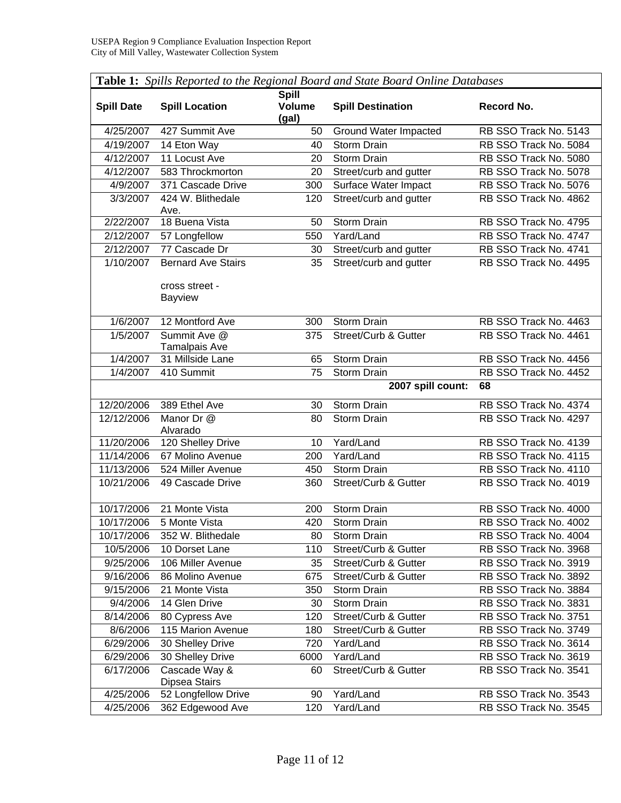| <b>Lavic 1.</b> Spills Reported to the Regional Doura and state Doura Ontihe Databases |                                      |                                        |                                 |                       |
|----------------------------------------------------------------------------------------|--------------------------------------|----------------------------------------|---------------------------------|-----------------------|
| <b>Spill Date</b>                                                                      | <b>Spill Location</b>                | <b>Spill</b><br><b>Volume</b><br>(gal) | <b>Spill Destination</b>        | Record No.            |
| 4/25/2007                                                                              | 427 Summit Ave                       | 50                                     | Ground Water Impacted           | RB SSO Track No. 5143 |
| 4/19/2007                                                                              | 14 Eton Way                          | 40                                     | Storm Drain                     | RB SSO Track No. 5084 |
| 4/12/2007                                                                              | 11 Locust Ave                        | 20                                     | <b>Storm Drain</b>              | RB SSO Track No. 5080 |
| 4/12/2007                                                                              | 583 Throckmorton                     | 20                                     | Street/curb and gutter          | RB SSO Track No. 5078 |
| 4/9/2007                                                                               | 371 Cascade Drive                    | 300                                    | Surface Water Impact            | RB SSO Track No. 5076 |
| 3/3/2007                                                                               | 424 W. Blithedale<br>Ave.            | 120                                    | Street/curb and gutter          | RB SSO Track No. 4862 |
| 2/22/2007                                                                              | 18 Buena Vista                       | 50                                     | Storm Drain                     | RB SSO Track No. 4795 |
| 2/12/2007                                                                              | 57 Longfellow                        | 550                                    | Yard/Land                       | RB SSO Track No. 4747 |
| 2/12/2007                                                                              | 77 Cascade Dr                        | 30                                     | Street/curb and gutter          | RB SSO Track No. 4741 |
| 1/10/2007                                                                              | <b>Bernard Ave Stairs</b>            | 35                                     | Street/curb and gutter          | RB SSO Track No. 4495 |
|                                                                                        | cross street -<br><b>Bayview</b>     |                                        |                                 |                       |
| 1/6/2007                                                                               | 12 Montford Ave                      | 300                                    | Storm Drain                     | RB SSO Track No. 4463 |
| 1/5/2007                                                                               | Summit Ave @<br><b>Tamalpais Ave</b> | 375                                    | <b>Street/Curb &amp; Gutter</b> | RB SSO Track No. 4461 |
| 1/4/2007                                                                               | 31 Millside Lane                     | 65                                     | Storm Drain                     | RB SSO Track No. 4456 |
| 1/4/2007                                                                               | 410 Summit                           | 75                                     | Storm Drain                     | RB SSO Track No. 4452 |
|                                                                                        |                                      |                                        | 2007 spill count:               | 68                    |
| 12/20/2006                                                                             | 389 Ethel Ave                        | 30                                     | Storm Drain                     | RB SSO Track No. 4374 |
| 12/12/2006                                                                             | Manor Dr @                           | 80                                     | Storm Drain                     | RB SSO Track No. 4297 |
|                                                                                        | Alvarado                             |                                        |                                 |                       |
| 11/20/2006                                                                             | 120 Shelley Drive                    | 10                                     | Yard/Land                       | RB SSO Track No. 4139 |
| 11/14/2006                                                                             | 67 Molino Avenue                     | 200                                    | Yard/Land                       | RB SSO Track No. 4115 |
| 11/13/2006                                                                             | 524 Miller Avenue                    | 450                                    | Storm Drain                     | RB SSO Track No. 4110 |
| 10/21/2006                                                                             | 49 Cascade Drive                     | 360                                    | Street/Curb & Gutter            | RB SSO Track No. 4019 |
|                                                                                        |                                      |                                        |                                 |                       |
| 10/17/2006                                                                             | 21 Monte Vista                       | 200                                    | Storm Drain                     | RB SSO Track No. 4000 |
| 10/17/2006                                                                             | 5 Monte Vista                        | 420                                    | Storm Drain                     | RB SSO Track No. 4002 |
| 10/17/2006                                                                             | 352 W. Blithedale                    | 80                                     | Storm Drain                     | RB SSO Track No. 4004 |
| 10/5/2006                                                                              | 10 Dorset Lane                       | 110                                    | Street/Curb & Gutter            | RB SSO Track No. 3968 |
| 9/25/2006                                                                              | 106 Miller Avenue                    | 35                                     | Street/Curb & Gutter            | RB SSO Track No. 3919 |
| 9/16/2006                                                                              | 86 Molino Avenue                     | 675                                    | Street/Curb & Gutter            | RB SSO Track No. 3892 |
| 9/15/2006                                                                              | 21 Monte Vista                       | 350                                    | Storm Drain                     | RB SSO Track No. 3884 |
| 9/4/2006                                                                               | 14 Glen Drive                        | 30                                     | <b>Storm Drain</b>              | RB SSO Track No. 3831 |
| 8/14/2006                                                                              | 80 Cypress Ave                       | 120                                    | Street/Curb & Gutter            | RB SSO Track No. 3751 |
| 8/6/2006                                                                               | 115 Marion Avenue                    | 180                                    | Street/Curb & Gutter            | RB SSO Track No. 3749 |
| 6/29/2006                                                                              | 30 Shelley Drive                     | 720                                    | Yard/Land                       | RB SSO Track No. 3614 |
| 6/29/2006                                                                              | 30 Shelley Drive                     | 6000                                   | Yard/Land                       | RB SSO Track No. 3619 |
| 6/17/2006                                                                              | Cascade Way &<br>Dipsea Stairs       | 60                                     | Street/Curb & Gutter            | RB SSO Track No. 3541 |
| 4/25/2006                                                                              | 52 Longfellow Drive                  | 90                                     | Yard/Land                       | RB SSO Track No. 3543 |
| 4/25/2006                                                                              | 362 Edgewood Ave                     | 120                                    | Yard/Land                       | RB SSO Track No. 3545 |

⅂